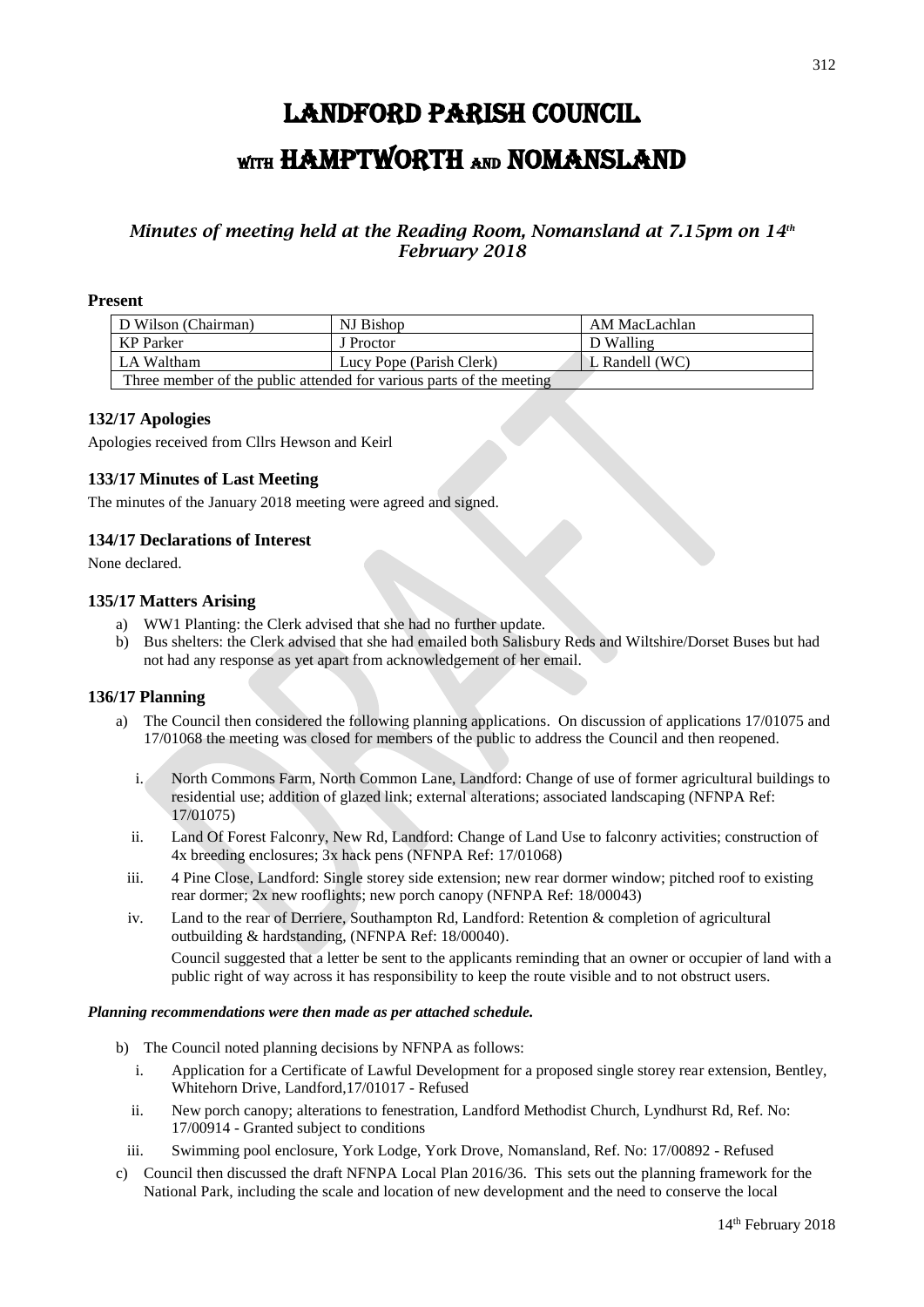# LANDFORD PARISH COUNCIL WITH HAMPTWORTH AND NOMANSLAND

# *Minutes of meeting held at the Reading Room, Nomansland at 7.15pm on 14 th February 2018*

#### **Present**

| D Wilson (Chairman)                                                  | NJ Bishop                | AM MacLachlan             |
|----------------------------------------------------------------------|--------------------------|---------------------------|
| KP Parker                                                            | J Proctor                | D Walling                 |
| LA Waltham                                                           | Lucy Pope (Parish Clerk) | $\mathbb{L}$ Randell (WC) |
| Three member of the public attended for various parts of the meeting |                          |                           |

#### **132/17 Apologies**

Apologies received from Cllrs Hewson and Keirl

## **133/17 Minutes of Last Meeting**

The minutes of the January 2018 meeting were agreed and signed.

## **134/17 Declarations of Interest**

None declared.

#### **135/17 Matters Arising**

- a) WW1 Planting: the Clerk advised that she had no further update.
- b) Bus shelters: the Clerk advised that she had emailed both Salisbury Reds and Wiltshire/Dorset Buses but had not had any response as yet apart from acknowledgement of her email.

#### **136/17 Planning**

- a) The Council then considered the following planning applications. On discussion of applications 17/01075 and 17/01068 the meeting was closed for members of the public to address the Council and then reopened.
	- i. North Commons Farm, North Common Lane, Landford: Change of use of former agricultural buildings to residential use; addition of glazed link; external alterations; associated landscaping (NFNPA Ref: 17/01075)
	- ii. Land Of Forest Falconry, New Rd, Landford: Change of Land Use to falconry activities; construction of 4x breeding enclosures; 3x hack pens (NFNPA Ref: 17/01068)
	- iii. 4 Pine Close, Landford: Single storey side extension; new rear dormer window; pitched roof to existing rear dormer; 2x new rooflights; new porch canopy (NFNPA Ref: 18/00043)
	- iv. Land to the rear of Derriere, Southampton Rd, Landford: Retention & completion of agricultural outbuilding & hardstanding, (NFNPA Ref: 18/00040).

Council suggested that a letter be sent to the applicants reminding that an owner or occupier of land with a public right of way across it has responsibility to keep the route visible and to not obstruct users.

#### *Planning recommendations were then made as per attached schedule.*

- b) The Council noted planning decisions by NFNPA as follows:
	- i. Application for a Certificate of Lawful Development for a proposed single storey rear extension, Bentley, Whitehorn Drive, Landford,17/01017 - Refused
	- ii. New porch canopy; alterations to fenestration, Landford Methodist Church, Lyndhurst Rd, Ref. No: 17/00914 - Granted subject to conditions
	- iii. Swimming pool enclosure, York Lodge, York Drove, Nomansland, Ref. No: 17/00892 Refused
- c) Council then discussed the draft NFNPA Local Plan 2016/36. This sets out the planning framework for the National Park, including the scale and location of new development and the need to conserve the local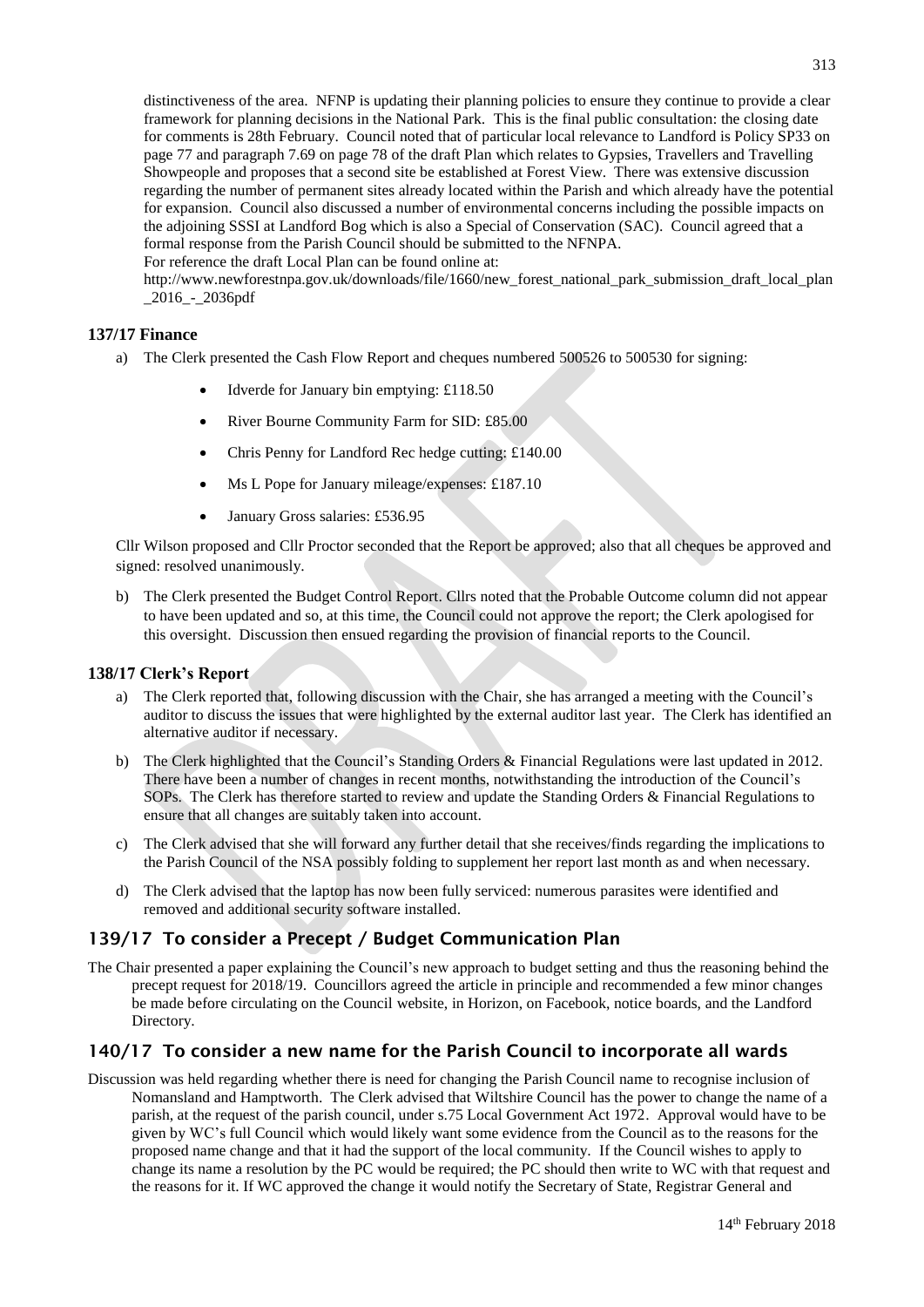distinctiveness of the area. NFNP is updating their planning policies to ensure they continue to provide a clear framework for planning decisions in the National Park. This is the final public consultation: the closing date for comments is 28th February. Council noted that of particular local relevance to Landford is Policy SP33 on page 77 and paragraph 7.69 on page 78 of the draft Plan which relates to Gypsies, Travellers and Travelling Showpeople and proposes that a second site be established at Forest View. There was extensive discussion regarding the number of permanent sites already located within the Parish and which already have the potential for expansion. Council also discussed a number of environmental concerns including the possible impacts on the adjoining SSSI at Landford Bog which is also a Special of Conservation (SAC). Council agreed that a formal response from the Parish Council should be submitted to the NFNPA.

For reference the draft Local Plan can be found online at:

http://www.newforestnpa.gov.uk/downloads/file/1660/new\_forest\_national\_park\_submission\_draft\_local\_plan \_2016\_-\_2036pdf

#### **137/17 Finance**

- a) The Clerk presented the Cash Flow Report and cheques numbered 500526 to 500530 for signing:
	- Idverde for January bin emptying: £118.50
	- River Bourne Community Farm for SID: £85.00
	- Chris Penny for Landford Rec hedge cutting: £140.00
	- Ms L Pope for January mileage/expenses: £187.10
	- January Gross salaries: £536.95

Cllr Wilson proposed and Cllr Proctor seconded that the Report be approved; also that all cheques be approved and signed: resolved unanimously.

b) The Clerk presented the Budget Control Report. Cllrs noted that the Probable Outcome column did not appear to have been updated and so, at this time, the Council could not approve the report; the Clerk apologised for this oversight. Discussion then ensued regarding the provision of financial reports to the Council.

#### **138/17 Clerk's Report**

- a) The Clerk reported that, following discussion with the Chair, she has arranged a meeting with the Council's auditor to discuss the issues that were highlighted by the external auditor last year. The Clerk has identified an alternative auditor if necessary.
- b) The Clerk highlighted that the Council's Standing Orders & Financial Regulations were last updated in 2012. There have been a number of changes in recent months, notwithstanding the introduction of the Council's SOPs. The Clerk has therefore started to review and update the Standing Orders & Financial Regulations to ensure that all changes are suitably taken into account.
- c) The Clerk advised that she will forward any further detail that she receives/finds regarding the implications to the Parish Council of the NSA possibly folding to supplement her report last month as and when necessary.
- d) The Clerk advised that the laptop has now been fully serviced: numerous parasites were identified and removed and additional security software installed.

## 139/17 To consider a Precept / Budget Communication Plan

The Chair presented a paper explaining the Council's new approach to budget setting and thus the reasoning behind the precept request for 2018/19. Councillors agreed the article in principle and recommended a few minor changes be made before circulating on the Council website, in Horizon, on Facebook, notice boards, and the Landford Directory.

## 140/17 To consider a new name for the Parish Council to incorporate all wards

Discussion was held regarding whether there is need for changing the Parish Council name to recognise inclusion of Nomansland and Hamptworth. The Clerk advised that Wiltshire Council has the power to change the name of a parish, at the request of the parish council, under s.75 Local Government Act 1972. Approval would have to be given by WC's full Council which would likely want some evidence from the Council as to the reasons for the proposed name change and that it had the support of the local community. If the Council wishes to apply to change its name a resolution by the PC would be required; the PC should then write to WC with that request and the reasons for it. If WC approved the change it would notify the Secretary of State, Registrar General and